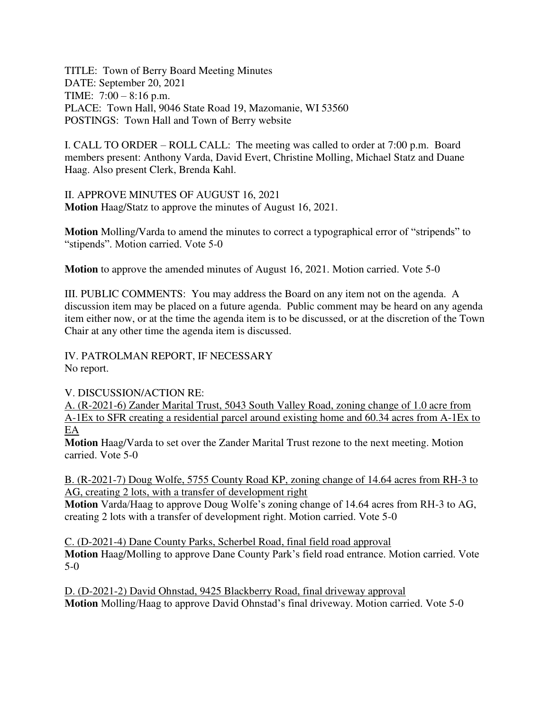TITLE: Town of Berry Board Meeting Minutes DATE: September 20, 2021 TIME: 7:00 – 8:16 p.m. PLACE: Town Hall, 9046 State Road 19, Mazomanie, WI 53560 POSTINGS: Town Hall and Town of Berry website

I. CALL TO ORDER – ROLL CALL: The meeting was called to order at 7:00 p.m. Board members present: Anthony Varda, David Evert, Christine Molling, Michael Statz and Duane Haag. Also present Clerk, Brenda Kahl.

II. APPROVE MINUTES OF AUGUST 16, 2021 **Motion** Haag/Statz to approve the minutes of August 16, 2021.

**Motion** Molling/Varda to amend the minutes to correct a typographical error of "stripends" to "stipends". Motion carried. Vote 5-0

**Motion** to approve the amended minutes of August 16, 2021. Motion carried. Vote 5-0

III. PUBLIC COMMENTS: You may address the Board on any item not on the agenda. A discussion item may be placed on a future agenda. Public comment may be heard on any agenda item either now, or at the time the agenda item is to be discussed, or at the discretion of the Town Chair at any other time the agenda item is discussed.

IV. PATROLMAN REPORT, IF NECESSARY

No report.

V. DISCUSSION/ACTION RE:

A. (R-2021-6) Zander Marital Trust, 5043 South Valley Road, zoning change of 1.0 acre from A-1Ex to SFR creating a residential parcel around existing home and 60.34 acres from A-1Ex to EA

**Motion** Haag/Varda to set over the Zander Marital Trust rezone to the next meeting. Motion carried. Vote 5-0

B. (R-2021-7) Doug Wolfe, 5755 County Road KP, zoning change of 14.64 acres from RH-3 to AG, creating 2 lots, with a transfer of development right

**Motion** Varda/Haag to approve Doug Wolfe's zoning change of 14.64 acres from RH-3 to AG, creating 2 lots with a transfer of development right. Motion carried. Vote 5-0

C. (D-2021-4) Dane County Parks, Scherbel Road, final field road approval **Motion** Haag/Molling to approve Dane County Park's field road entrance. Motion carried. Vote 5-0

D. (D-2021-2) David Ohnstad, 9425 Blackberry Road, final driveway approval **Motion** Molling/Haag to approve David Ohnstad's final driveway. Motion carried. Vote 5-0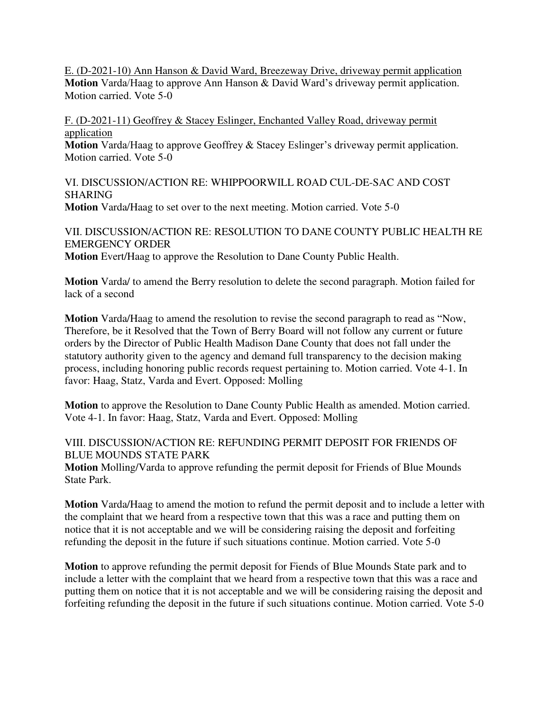E. (D-2021-10) Ann Hanson & David Ward, Breezeway Drive, driveway permit application **Motion** Varda/Haag to approve Ann Hanson & David Ward's driveway permit application. Motion carried. Vote 5-0

F. (D-2021-11) Geoffrey & Stacey Eslinger, Enchanted Valley Road, driveway permit application

**Motion** Varda/Haag to approve Geoffrey & Stacey Eslinger's driveway permit application. Motion carried. Vote 5-0

VI. DISCUSSION/ACTION RE: WHIPPOORWILL ROAD CUL-DE-SAC AND COST **SHARING Motion** Varda/Haag to set over to the next meeting. Motion carried. Vote 5-0

VII. DISCUSSION/ACTION RE: RESOLUTION TO DANE COUNTY PUBLIC HEALTH RE EMERGENCY ORDER **Motion** Evert/Haag to approve the Resolution to Dane County Public Health.

**Motion** Varda/ to amend the Berry resolution to delete the second paragraph. Motion failed for lack of a second

**Motion** Varda/Haag to amend the resolution to revise the second paragraph to read as "Now, Therefore, be it Resolved that the Town of Berry Board will not follow any current or future orders by the Director of Public Health Madison Dane County that does not fall under the statutory authority given to the agency and demand full transparency to the decision making process, including honoring public records request pertaining to. Motion carried. Vote 4-1. In favor: Haag, Statz, Varda and Evert. Opposed: Molling

**Motion** to approve the Resolution to Dane County Public Health as amended. Motion carried. Vote 4-1. In favor: Haag, Statz, Varda and Evert. Opposed: Molling

VIII. DISCUSSION/ACTION RE: REFUNDING PERMIT DEPOSIT FOR FRIENDS OF BLUE MOUNDS STATE PARK

**Motion** Molling/Varda to approve refunding the permit deposit for Friends of Blue Mounds State Park.

**Motion** Varda/Haag to amend the motion to refund the permit deposit and to include a letter with the complaint that we heard from a respective town that this was a race and putting them on notice that it is not acceptable and we will be considering raising the deposit and forfeiting refunding the deposit in the future if such situations continue. Motion carried. Vote 5-0

**Motion** to approve refunding the permit deposit for Fiends of Blue Mounds State park and to include a letter with the complaint that we heard from a respective town that this was a race and putting them on notice that it is not acceptable and we will be considering raising the deposit and forfeiting refunding the deposit in the future if such situations continue. Motion carried. Vote 5-0